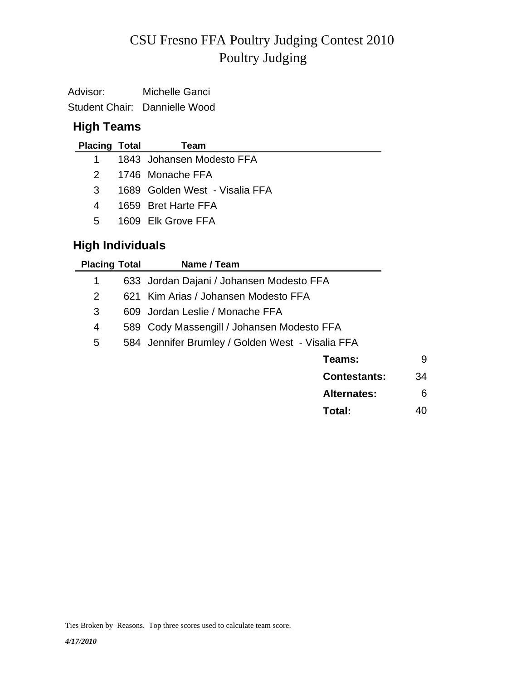# Poultry Judging CSU Fresno FFA Poultry Judging Contest 2010

Advisor: Michelle Ganci Student Chair: Dannielle Wood

### **High Teams**

| <b>Placing Total</b> | Team                           |
|----------------------|--------------------------------|
| 1 $\blacksquare$     | 1843 Johansen Modesto FFA      |
| $2 -$                | 1746 Monache FFA               |
| 3                    | 1689 Golden West - Visalia FFA |
| 4                    | 1659 Bret Harte FFA            |
| 5                    | 1609 Flk Grove FFA             |
|                      |                                |

# **High Individuals**

| <b>Placing Total</b> | Name / Team                                      |                     |    |
|----------------------|--------------------------------------------------|---------------------|----|
| 1                    | 633 Jordan Dajani / Johansen Modesto FFA         |                     |    |
| 2                    | 621 Kim Arias / Johansen Modesto FFA             |                     |    |
| 3                    | 609 Jordan Leslie / Monache FFA                  |                     |    |
| 4                    | 589 Cody Massengill / Johansen Modesto FFA       |                     |    |
| 5                    | 584 Jennifer Brumley / Golden West - Visalia FFA |                     |    |
|                      |                                                  | Teams:              | 9  |
|                      |                                                  | <b>Contestants:</b> | 34 |
|                      |                                                  | <b>Alternates:</b>  | 6  |
|                      |                                                  | Total:              | 40 |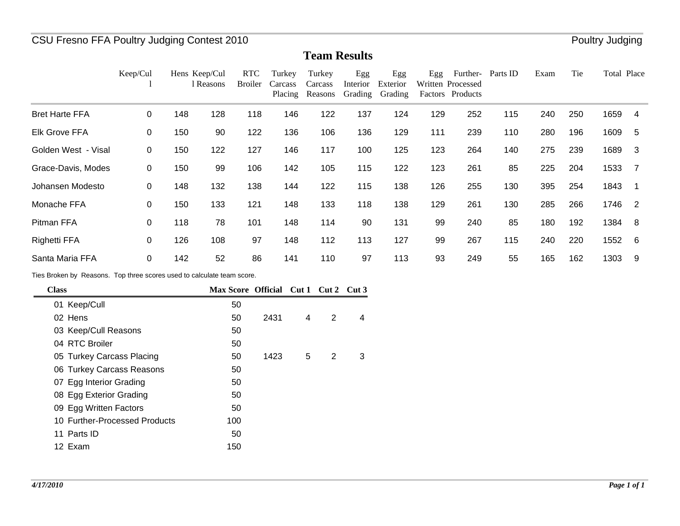### CSU Fresno FFA Poultry Judging Contest 2010 **Poultry Accord Poultry Accord Poultry Judging**

#### **Team Results**

|                       | Keep/Cul    |     | Hens Keep/Cul<br>l Reasons | <b>RTC</b><br><b>Broiler</b> | Turkey<br>Carcass<br>Placing | Turkey<br>Carcass<br>Reasons | Egg<br>Interior<br>Grading | Egg<br>Exterior<br>Grading | Egg | Further-<br>Written Processed<br>Factors Products | Parts ID | Exam | Tie | Total Place |                |
|-----------------------|-------------|-----|----------------------------|------------------------------|------------------------------|------------------------------|----------------------------|----------------------------|-----|---------------------------------------------------|----------|------|-----|-------------|----------------|
| <b>Bret Harte FFA</b> | 0           | 148 | 128                        | 118                          | 146                          | 122                          | 137                        | 124                        | 129 | 252                                               | 115      | 240  | 250 | 1659        | 4              |
| <b>Elk Grove FFA</b>  | 0           | 150 | 90                         | 122                          | 136                          | 106                          | 136                        | 129                        | 111 | 239                                               | 110      | 280  | 196 | 1609        | 5              |
| Golden West - Visal   | 0           | 150 | 122                        | 127                          | 146                          | 117                          | 100                        | 125                        | 123 | 264                                               | 140      | 275  | 239 | 1689        | 3              |
| Grace-Davis, Modes    | 0           | 150 | 99                         | 106                          | 142                          | 105                          | 115                        | 122                        | 123 | 261                                               | 85       | 225  | 204 | 1533        | 7              |
| Johansen Modesto      | 0           | 148 | 132                        | 138                          | 144                          | 122                          | 115                        | 138                        | 126 | 255                                               | 130      | 395  | 254 | 1843        |                |
| Monache FFA           | $\mathbf 0$ | 150 | 133                        | 121                          | 148                          | 133                          | 118                        | 138                        | 129 | 261                                               | 130      | 285  | 266 | 1746        | $\overline{2}$ |
| Pitman FFA            | 0           | 118 | 78                         | 101                          | 148                          | 114                          | 90                         | 131                        | 99  | 240                                               | 85       | 180  | 192 | 1384        | -8             |
| <b>Righetti FFA</b>   | 0           | 126 | 108                        | 97                           | 148                          | 112                          | 113                        | 127                        | 99  | 267                                               | 115      | 240  | 220 | 1552        | -6             |
| Santa Maria FFA       | 0           | 142 | 52                         | 86                           | 141                          | 110                          | 97                         | 113                        | 93  | 249                                               | 55       | 165  | 162 | 1303        | 9              |

Ties Broken by Reasons. Top three scores used to calculate team score.

| <b>Class</b>                  | Max Score Official Cut 1 Cut 2 Cut 3 |      |   |   |   |
|-------------------------------|--------------------------------------|------|---|---|---|
| 01 Keep/Cull                  | 50                                   |      |   |   |   |
| 02 Hens                       | 50                                   | 2431 | 4 | 2 | 4 |
| 03 Keep/Cull Reasons          | 50                                   |      |   |   |   |
| 04 RTC Broiler                | 50                                   |      |   |   |   |
| 05 Turkey Carcass Placing     | 50                                   | 1423 | 5 | 2 | 3 |
| 06 Turkey Carcass Reasons     | 50                                   |      |   |   |   |
| 07 Egg Interior Grading       | 50                                   |      |   |   |   |
| 08 Egg Exterior Grading       | 50                                   |      |   |   |   |
| 09 Egg Written Factors        | 50                                   |      |   |   |   |
| 10 Further-Processed Products | 100                                  |      |   |   |   |
| 11 Parts ID                   | 50                                   |      |   |   |   |
| 12 Exam                       | 150                                  |      |   |   |   |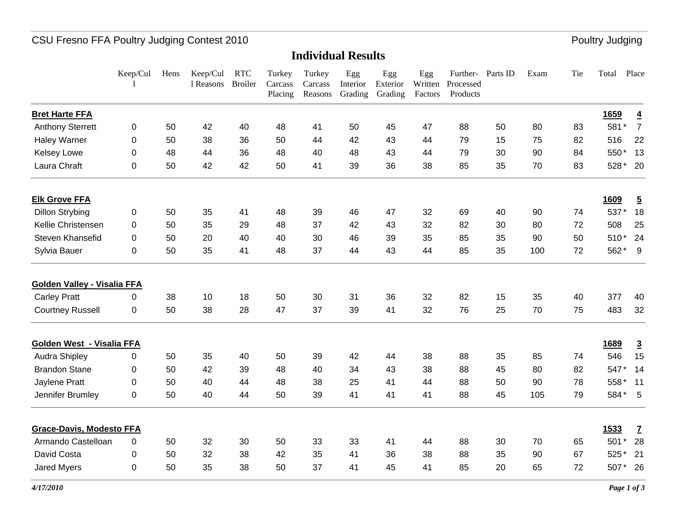# CSU Fresno FFA Poultry Judging Contest 2010 **Poultry Judging** Poultry Judging

#### **Individual Results**

|                                    | Keep/Cul         | Hens | Keep/Cul<br>1 Reasons | <b>RTC</b><br><b>Broiler</b> | Turkey<br>Carcass<br>Placing | Turkey<br>Carcass<br>Reasons | Egg<br>Interior<br>Grading | Egg<br>Exterior<br>Grading | Egg<br>Written<br>Factors | Further-<br>Processed<br>Products | Parts ID | Exam | Tie | Total   | Place          |
|------------------------------------|------------------|------|-----------------------|------------------------------|------------------------------|------------------------------|----------------------------|----------------------------|---------------------------|-----------------------------------|----------|------|-----|---------|----------------|
| <b>Bret Harte FFA</b>              |                  |      |                       |                              |                              |                              |                            |                            |                           |                                   |          |      |     | 1659    | $\overline{4}$ |
| <b>Anthony Sterrett</b>            | $\boldsymbol{0}$ | 50   | 42                    | 40                           | 48                           | 41                           | 50                         | 45                         | 47                        | 88                                | 50       | 80   | 83  | 581*    | $\overline{7}$ |
| <b>Haley Warner</b>                | 0                | 50   | 38                    | 36                           | 50                           | 44                           | 42                         | 43                         | 44                        | 79                                | 15       | 75   | 82  | 516     | 22             |
| <b>Kelsey Lowe</b>                 | 0                | 48   | 44                    | 36                           | 48                           | 40                           | 48                         | 43                         | 44                        | 79                                | 30       | 90   | 84  | 550*    | 13             |
| Laura Chraft                       | $\boldsymbol{0}$ | 50   | 42                    | 42                           | 50                           | 41                           | 39                         | 36                         | 38                        | 85                                | 35       | 70   | 83  | 528*    | 20             |
| <b>Elk Grove FFA</b>               |                  |      |                       |                              |                              |                              |                            |                            |                           |                                   |          |      |     | 1609    | $\overline{5}$ |
| <b>Dillon Strybing</b>             | 0                | 50   | 35                    | 41                           | 48                           | 39                           | 46                         | 47                         | 32                        | 69                                | 40       | 90   | 74  | 537*    | 18             |
| Kellie Christensen                 | 0                | 50   | 35                    | 29                           | 48                           | 37                           | 42                         | 43                         | 32                        | 82                                | 30       | 80   | 72  | 508     | 25             |
| Steven Khansefid                   | 0                | 50   | 20                    | 40                           | 40                           | 30                           | 46                         | 39                         | 35                        | 85                                | 35       | 90   | 50  | 510*    | 24             |
| Sylvia Bauer                       | 0                | 50   | 35                    | 41                           | 48                           | 37                           | 44                         | 43                         | 44                        | 85                                | 35       | 100  | 72  | 562*    | 9              |
| <b>Golden Valley - Visalia FFA</b> |                  |      |                       |                              |                              |                              |                            |                            |                           |                                   |          |      |     |         |                |
| <b>Carley Pratt</b>                | 0                | 38   | 10                    | 18                           | 50                           | 30                           | 31                         | 36                         | 32                        | 82                                | 15       | 35   | 40  | 377     | 40             |
| <b>Courtney Russell</b>            | 0                | 50   | 38                    | 28                           | 47                           | 37                           | 39                         | 41                         | 32                        | 76                                | 25       | 70   | 75  | 483     | 32             |
| Golden West - Visalia FFA          |                  |      |                       |                              |                              |                              |                            |                            |                           |                                   |          |      |     | 1689    | $\overline{3}$ |
| <b>Audra Shipley</b>               | 0                | 50   | 35                    | 40                           | 50                           | 39                           | 42                         | 44                         | 38                        | 88                                | 35       | 85   | 74  | 546     | 15             |
| <b>Brandon Stane</b>               | 0                | 50   | 42                    | 39                           | 48                           | 40                           | 34                         | 43                         | 38                        | 88                                | 45       | 80   | 82  | 547*    | 14             |
| Jaylene Pratt                      | 0                | 50   | 40                    | 44                           | 48                           | 38                           | 25                         | 41                         | 44                        | 88                                | 50       | 90   | 78  | 558*    | 11             |
| Jennifer Brumley                   | $\pmb{0}$        | 50   | 40                    | 44                           | 50                           | 39                           | 41                         | 41                         | 41                        | 88                                | 45       | 105  | 79  | 584* 5  |                |
| <b>Grace-Davis, Modesto FFA</b>    |                  |      |                       |                              |                              |                              |                            |                            |                           |                                   |          |      |     | 1533    | $\overline{1}$ |
| Armando Castelloan                 | 0                | 50   | 32                    | 30                           | 50                           | 33                           | 33                         | 41                         | 44                        | 88                                | 30       | 70   | 65  | 501     | 28             |
| David Costa                        | 0                | 50   | 32                    | 38                           | 42                           | 35                           | 41                         | 36                         | 38                        | 88                                | 35       | 90   | 67  | 525*    | 21             |
| <b>Jared Myers</b>                 | $\mathbf 0$      | 50   | 35                    | 38                           | 50                           | 37                           | 41                         | 45                         | 41                        | 85                                | 20       | 65   | 72  | 507* 26 |                |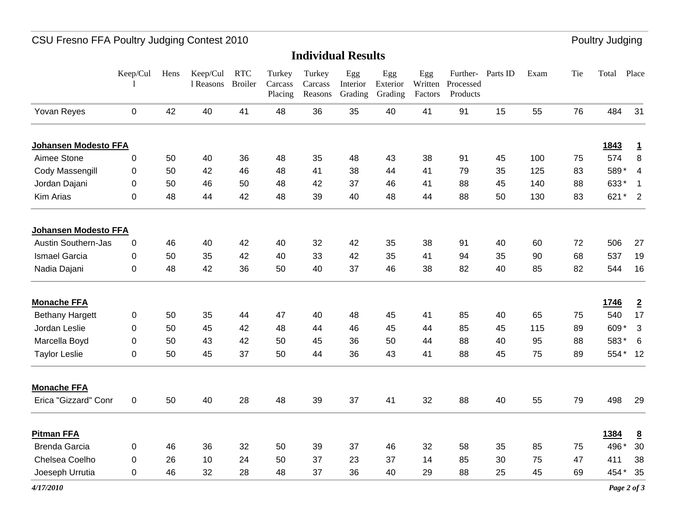# CSU Fresno FFA Poultry Judging Contest 2010 **Poultry Judging** Poultry Judging

**Individual Results**

|                            | Keep/Cul         | Hens | Keep/Cul<br>1 Reasons | <b>RTC</b><br><b>Broiler</b> | Turkey<br>Carcass<br>Placing | Turkey<br>Carcass<br>Reasons | Egg<br>Interior<br>Grading | Egg<br>Exterior<br>Grading | Egg<br>Written<br>Factors | Further- Parts ID<br>Processed<br>Products |    | Exam | Tie | Total | Place                    |
|----------------------------|------------------|------|-----------------------|------------------------------|------------------------------|------------------------------|----------------------------|----------------------------|---------------------------|--------------------------------------------|----|------|-----|-------|--------------------------|
| Yovan Reyes                | $\boldsymbol{0}$ | 42   | 40                    | 41                           | 48                           | 36                           | 35                         | 40                         | 41                        | 91                                         | 15 | 55   | 76  | 484   | 31                       |
| Johansen Modesto FFA       |                  |      |                       |                              |                              |                              |                            |                            |                           |                                            |    |      |     | 1843  | $\overline{1}$           |
| Aimee Stone                | $\pmb{0}$        | 50   | 40                    | 36                           | 48                           | 35                           | 48                         | 43                         | 38                        | 91                                         | 45 | 100  | 75  | 574   | $\bf 8$                  |
| Cody Massengill            | $\pmb{0}$        | 50   | 42                    | 46                           | 48                           | 41                           | 38                         | 44                         | 41                        | 79                                         | 35 | 125  | 83  | 589*  | $\overline{\mathbf{4}}$  |
| Jordan Dajani              | $\pmb{0}$        | 50   | 46                    | 50                           | 48                           | 42                           | 37                         | 46                         | 41                        | 88                                         | 45 | 140  | 88  | 633*  | $\mathbf{1}$             |
| Kim Arias                  | $\pmb{0}$        | 48   | 44                    | 42                           | 48                           | 39                           | 40                         | 48                         | 44                        | 88                                         | 50 | 130  | 83  | 621   | $\overline{2}$<br>$\ast$ |
| Johansen Modesto FFA       |                  |      |                       |                              |                              |                              |                            |                            |                           |                                            |    |      |     |       |                          |
| <b>Austin Southern-Jas</b> | $\pmb{0}$        | 46   | 40                    | 42                           | 40                           | 32                           | 42                         | 35                         | 38                        | 91                                         | 40 | 60   | 72  | 506   | 27                       |
| <b>Ismael Garcia</b>       | $\pmb{0}$        | 50   | 35                    | 42                           | 40                           | 33                           | 42                         | 35                         | 41                        | 94                                         | 35 | 90   | 68  | 537   | 19                       |
| Nadia Dajani               | $\mathbf 0$      | 48   | 42                    | 36                           | 50                           | 40                           | 37                         | 46                         | 38                        | 82                                         | 40 | 85   | 82  | 544   | 16                       |
| <b>Monache FFA</b>         |                  |      |                       |                              |                              |                              |                            |                            |                           |                                            |    |      |     | 1746  | $\overline{2}$           |
| <b>Bethany Hargett</b>     | $\pmb{0}$        | 50   | 35                    | 44                           | 47                           | 40                           | 48                         | 45                         | 41                        | 85                                         | 40 | 65   | 75  | 540   | 17                       |
| Jordan Leslie              | $\pmb{0}$        | 50   | 45                    | 42                           | 48                           | 44                           | 46                         | 45                         | 44                        | 85                                         | 45 | 115  | 89  | 609*  | 3                        |
| Marcella Boyd              | 0                | 50   | 43                    | 42                           | 50                           | 45                           | 36                         | 50                         | 44                        | 88                                         | 40 | 95   | 88  | 583*  | 6                        |
| <b>Taylor Leslie</b>       | $\pmb{0}$        | 50   | 45                    | 37                           | 50                           | 44                           | 36                         | 43                         | 41                        | 88                                         | 45 | 75   | 89  | 554*  | 12                       |
| <b>Monache FFA</b>         |                  |      |                       |                              |                              |                              |                            |                            |                           |                                            |    |      |     |       |                          |
| Erica "Gizzard" Conr       | $\pmb{0}$        | 50   | 40                    | 28                           | 48                           | 39                           | 37                         | 41                         | 32                        | 88                                         | 40 | 55   | 79  | 498   | 29                       |
| <b>Pitman FFA</b>          |                  |      |                       |                              |                              |                              |                            |                            |                           |                                            |    |      |     | 1384  | $\overline{\mathbf{8}}$  |
| <b>Brenda Garcia</b>       | 0                | 46   | 36                    | 32                           | 50                           | 39                           | 37                         | 46                         | 32                        | 58                                         | 35 | 85   | 75  | 496*  | 30                       |
| Chelsea Coelho             | 0                | 26   | 10                    | 24                           | 50                           | 37                           | 23                         | 37                         | 14                        | 85                                         | 30 | 75   | 47  | 411   | 38                       |
| Joeseph Urrutia            | $\boldsymbol{0}$ | 46   | 32                    | 28                           | 48                           | 37                           | 36                         | 40                         | 29                        | 88                                         | 25 | 45   | 69  | 454*  | 35                       |
|                            |                  |      |                       |                              |                              |                              |                            |                            |                           |                                            |    |      |     |       |                          |

*4/17/2010*